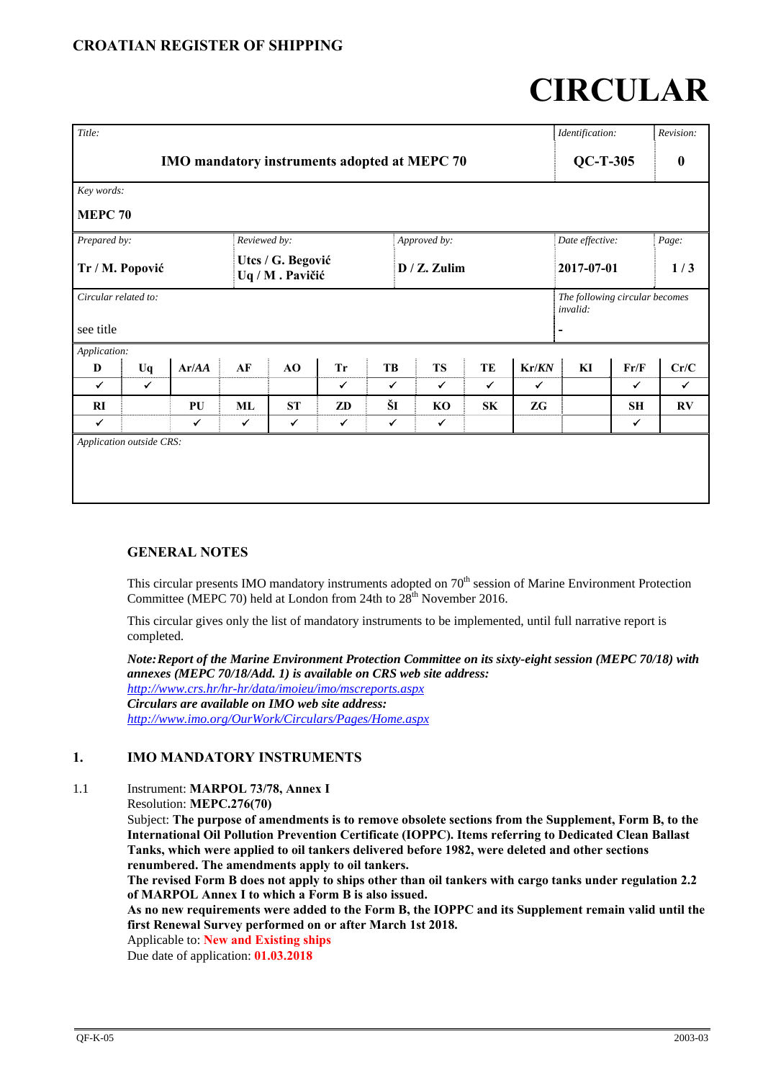# **CIRCULAR**

| Title:                                       |              |              |              |                                      |              |              |                 |              |                 | Identification:                            |                  | Revision:    |
|----------------------------------------------|--------------|--------------|--------------|--------------------------------------|--------------|--------------|-----------------|--------------|-----------------|--------------------------------------------|------------------|--------------|
| IMO mandatory instruments adopted at MEPC 70 |              |              |              |                                      |              |              |                 |              | $QC-T-305$      |                                            | $\boldsymbol{0}$ |              |
| Key words:                                   |              |              |              |                                      |              |              |                 |              |                 |                                            |                  |              |
| <b>MEPC 70</b>                               |              |              |              |                                      |              |              |                 |              |                 |                                            |                  |              |
| Prepared by:                                 |              |              | Reviewed by: |                                      |              |              | Approved by:    |              | Date effective: |                                            | $Page.$          |              |
| Tr / M. Popović                              |              |              |              | Utcs / G. Begović<br>Uq / M. Pavičić |              |              | $D / Z$ . Zulim |              |                 | 2017-07-01                                 |                  | 1/3          |
| Circular related to:                         |              |              |              |                                      |              |              |                 |              |                 | The following circular becomes<br>invalid: |                  |              |
| see title                                    |              |              |              |                                      |              |              |                 |              |                 |                                            |                  |              |
| Application:                                 |              |              |              |                                      |              |              |                 |              |                 |                                            |                  |              |
| D                                            | Uq           | Ar/AA        | AF           | AO                                   | <b>Tr</b>    | TB           | <b>TS</b>       | TE           | Kr/KN           | KI                                         | Fr/F             | Cr/C         |
| $\checkmark$                                 | $\checkmark$ |              |              |                                      | $\checkmark$ | $\checkmark$ | $\checkmark$    | $\checkmark$ | $\checkmark$    |                                            | $\checkmark$     | $\checkmark$ |
| RI                                           |              | PU           | ML           | <b>ST</b>                            | ZD           | ŠI           | KO              | SK           | ZG              |                                            | <b>SH</b>        | RV           |
| $\checkmark$                                 |              | $\checkmark$ | ✔            | ✓                                    | $\checkmark$ | $\checkmark$ | $\checkmark$    |              |                 |                                            | ✓                |              |
| Application outside CRS:                     |              |              |              |                                      |              |              |                 |              |                 |                                            |                  |              |

# **GENERAL NOTES**

This circular presents IMO mandatory instruments adopted on 70<sup>th</sup> session of Marine Environment Protection Committee (MEPC 70) held at London from 24th to  $28<sup>th</sup>$  November 2016.

This circular gives only the list of mandatory instruments to be implemented, until full narrative report is completed.

*Note: Report of the Marine Environment Protection Committee on its sixty-eight session (MEPC 70/18) with annexes (MEPC 70/18/Add. 1) is available on CRS web site address: http://www.crs.hr/hr-hr/data/imoieu/imo/mscreports.aspx Circulars are available on IMO web site address: http://www.imo.org/OurWork/Circulars/Pages/Home.aspx*

### **1. IMO MANDATORY INSTRUMENTS**

1.1 Instrument: **MARPOL 73/78, Annex I**

Resolution: **MEPC.276(70)** 

Subject: **The purpose of amendments is to remove obsolete sections from the Supplement, Form B, to the International Oil Pollution Prevention Certificate (IOPPC). Items referring to Dedicated Clean Ballast Tanks, which were applied to oil tankers delivered before 1982, were deleted and other sections renumbered. The amendments apply to oil tankers.** 

**The revised Form B does not apply to ships other than oil tankers with cargo tanks under regulation 2.2 of MARPOL Annex I to which a Form B is also issued.** 

**As no new requirements were added to the Form B, the IOPPC and its Supplement remain valid until the first Renewal Survey performed on or after March 1st 2018.** 

Applicable to: **New and Existing ships**

Due date of application: **01.03.2018**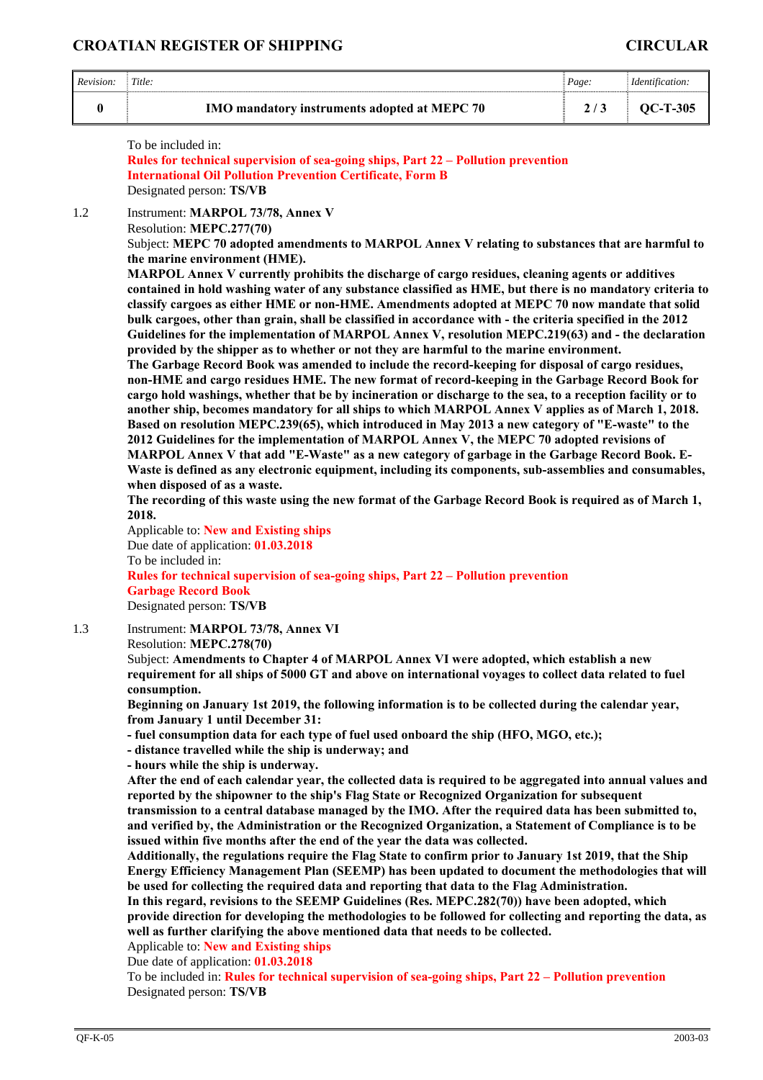#### **CROATIAN REGISTER OF SHIPPING CIRCULAR**

| Revision: | Title:                                       | Page: | <i>dentification:</i> |
|-----------|----------------------------------------------|-------|-----------------------|
|           | IMO mandatory instruments adopted at MEPC 70 |       | OC-T-305              |

To be included in:

**Rules for technical supervision of sea-going ships, Part 22 – Pollution prevention International Oil Pollution Prevention Certificate, Form B** Designated person: **TS/VB** 

1.2 Instrument: **MARPOL 73/78, Annex V**

Resolution: **MEPC.277(70)** 

Subject: **MEPC 70 adopted amendments to MARPOL Annex V relating to substances that are harmful to the marine environment (HME).** 

**MARPOL Annex V currently prohibits the discharge of cargo residues, cleaning agents or additives contained in hold washing water of any substance classified as HME, but there is no mandatory criteria to classify cargoes as either HME or non-HME. Amendments adopted at MEPC 70 now mandate that solid bulk cargoes, other than grain, shall be classified in accordance with - the criteria specified in the 2012 Guidelines for the implementation of MARPOL Annex V, resolution MEPC.219(63) and - the declaration provided by the shipper as to whether or not they are harmful to the marine environment.** 

**The Garbage Record Book was amended to include the record-keeping for disposal of cargo residues, non-HME and cargo residues HME. The new format of record-keeping in the Garbage Record Book for cargo hold washings, whether that be by incineration or discharge to the sea, to a reception facility or to another ship, becomes mandatory for all ships to which MARPOL Annex V applies as of March 1, 2018. Based on resolution MEPC.239(65), which introduced in May 2013 a new category of "E-waste" to the 2012 Guidelines for the implementation of MARPOL Annex V, the MEPC 70 adopted revisions of MARPOL Annex V that add "E-Waste" as a new category of garbage in the Garbage Record Book. E-Waste is defined as any electronic equipment, including its components, sub-assemblies and consumables, when disposed of as a waste.** 

**The recording of this waste using the new format of the Garbage Record Book is required as of March 1, 2018.** 

Applicable to: **New and Existing ships** Due date of application: **01.03.2018** To be included in: **Rules for technical supervision of sea-going ships, Part 22 – Pollution prevention Garbage Record Book**  Designated person: **TS/VB** 

1.3 Instrument: **MARPOL 73/78, Annex VI**

Resolution: **MEPC.278(70)** 

Subject: **Amendments to Chapter 4 of MARPOL Annex VI were adopted, which establish a new requirement for all ships of 5000 GT and above on international voyages to collect data related to fuel consumption.** 

**Beginning on January 1st 2019, the following information is to be collected during the calendar year, from January 1 until December 31:** 

**- fuel consumption data for each type of fuel used onboard the ship (HFO, MGO, etc.);** 

**- distance travelled while the ship is underway; and** 

**- hours while the ship is underway.** 

**After the end of each calendar year, the collected data is required to be aggregated into annual values and reported by the shipowner to the ship's Flag State or Recognized Organization for subsequent transmission to a central database managed by the IMO. After the required data has been submitted to, and verified by, the Administration or the Recognized Organization, a Statement of Compliance is to be issued within five months after the end of the year the data was collected.** 

**Additionally, the regulations require the Flag State to confirm prior to January 1st 2019, that the Ship Energy Efficiency Management Plan (SEEMP) has been updated to document the methodologies that will be used for collecting the required data and reporting that data to the Flag Administration. In this regard, revisions to the SEEMP Guidelines (Res. MEPC.282(70)) have been adopted, which** 

**provide direction for developing the methodologies to be followed for collecting and reporting the data, as well as further clarifying the above mentioned data that needs to be collected.** 

Applicable to: **New and Existing ships**

Due date of application: **01.03.2018**

To be included in: **Rules for technical supervision of sea-going ships, Part 22 – Pollution prevention**  Designated person: **TS/VB**